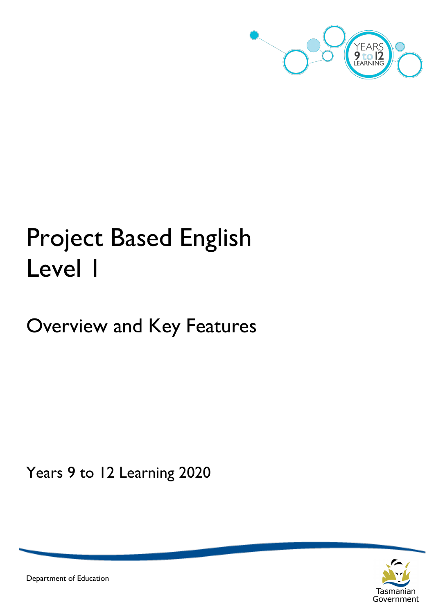

# Project Based English Level 1

## Overview and Key Features

Years 9 to 12 Learning 2020



Department of Education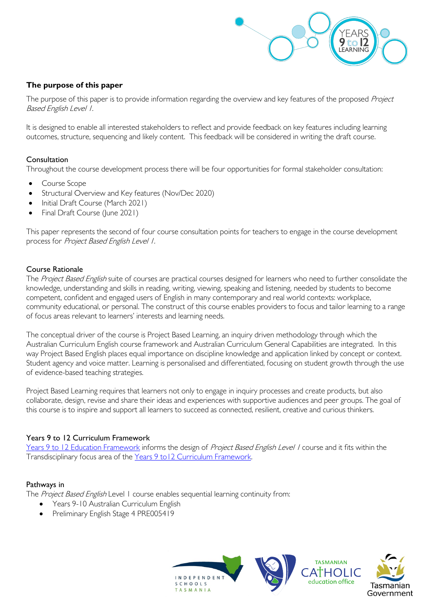

### **The purpose of this paper**

The purpose of this paper is to provide information regarding the overview and key features of the proposed Project Based English Level 1.

It is designed to enable all interested stakeholders to reflect and provide feedback on key features including learning outcomes, structure, sequencing and likely content. This feedback will be considered in writing the draft course.

### Consultation

Throughout the course development process there will be four opportunities for formal stakeholder consultation:

- Course Scope
- Structural Overview and Key features (Nov/Dec 2020)
- Initial Draft Course (March 2021)
- Final Draft Course (June 2021)

This paper represents the second of four course consultation points for teachers to engage in the course development process for Project Based English Level 1.

### Course Rationale

The Project Based English suite of courses are practical courses designed for learners who need to further consolidate the knowledge, understanding and skills in reading, writing, viewing, speaking and listening, needed by students to become competent, confident and engaged users of English in many contemporary and real world contexts: workplace, community educational, or personal. The construct of this course enables providers to focus and tailor learning to a range of focus areas relevant to learners' interests and learning needs.

The conceptual driver of the course is Project Based Learning, an inquiry driven methodology through which the Australian Curriculum English course framework and Australian Curriculum General Capabilities are integrated. In this way Project Based English places equal importance on discipline knowledge and application linked by concept or context. Student agency and voice matter. Learning is personalised and differentiated, focusing on student growth through the use of evidence-based teaching strategies.

Project Based Learning requires that learners not only to engage in inquiry processes and create products, but also collaborate, design, revise and share their ideas and experiences with supportive audiences and peer groups. The goal of this course is to inspire and support all learners to succeed as connected, resilient, creative and curious thinkers.

### Years 9 to 12 Curriculum Framework

[Years 9 to 12 Education Framework](https://publicdocumentcentre.education.tas.gov.au/library/Shared%20Documents/Years-9-to-12-Education-Framework.pdf) informs the design of Project Based English Level / course and it fits within the Transdisciplinary focus area of the Years 9 to 12 Curriculum Framework.

### Pathways in

The Project Based English Level 1 course enables sequential learning continuity from:

- Years 9-10 Australian Curriculum English
- Preliminary English Stage 4 PRE005419

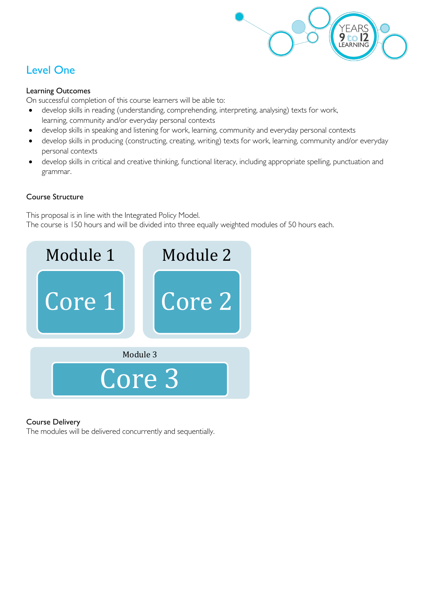

### Level One

### Learning Outcomes

On successful completion of this course learners will be able to:

- develop skills in reading (understanding, comprehending, interpreting, analysing) texts for work, learning, community and/or everyday personal contexts
- develop skills in speaking and listening for work, learning, community and everyday personal contexts
- develop skills in producing (constructing, creating, writing) texts for work, learning, community and/or everyday personal contexts
- develop skills in critical and creative thinking, functional literacy, including appropriate spelling, punctuation and grammar.

### Course Structure

This proposal is in line with the Integrated Policy Model. The course is 150 hours and will be divided into three equally weighted modules of 50 hours each.



### Course Delivery

The modules will be delivered concurrently and sequentially.